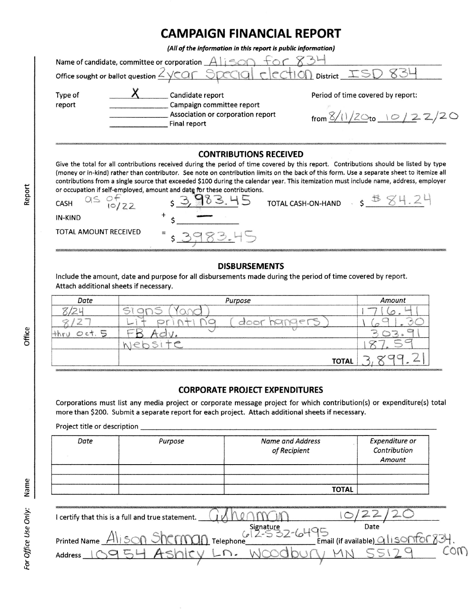## CAMPAIGN FINANCIAL REPORT

| (All of the information in this report is public information)                                                                                                                                                                                                                                                                                                                                                                                                                                                                                  |                                                                                                    |                                                                       |  |  |  |  |  |
|------------------------------------------------------------------------------------------------------------------------------------------------------------------------------------------------------------------------------------------------------------------------------------------------------------------------------------------------------------------------------------------------------------------------------------------------------------------------------------------------------------------------------------------------|----------------------------------------------------------------------------------------------------|-----------------------------------------------------------------------|--|--|--|--|--|
| Name of candidate, committee or corporation $A$ is $\circ$<br>Office sought or ballot question <u><ycar special<="" u=""> cccion District ISD</ycar></u>                                                                                                                                                                                                                                                                                                                                                                                       |                                                                                                    |                                                                       |  |  |  |  |  |
|                                                                                                                                                                                                                                                                                                                                                                                                                                                                                                                                                |                                                                                                    |                                                                       |  |  |  |  |  |
| Type of<br>report                                                                                                                                                                                                                                                                                                                                                                                                                                                                                                                              | Candidate report<br>Campaign committee report<br>Association or corporation report<br>Final report | Period of time covered by report:<br>from $\frac{8}{120}$ to 10/22/20 |  |  |  |  |  |
|                                                                                                                                                                                                                                                                                                                                                                                                                                                                                                                                                |                                                                                                    |                                                                       |  |  |  |  |  |
| <b>CONTRIBUTIONS RECEIVED</b>                                                                                                                                                                                                                                                                                                                                                                                                                                                                                                                  |                                                                                                    |                                                                       |  |  |  |  |  |
| Give the total for all contributions received during the period of time covered by this report. Contributions should be listed by type<br>(money or in-kind) rather than contributor. See note on contribution limits on the back of this form. Use a separate sheet to itemize all<br>contributions from a single source that exceeded \$100 during the calendar year. This itemization must include name, address, employer<br>or occupation if self-employed, amount and date for these contributions.<br><b>TOTAL CASH-ON-HAND</b><br>CASH |                                                                                                    |                                                                       |  |  |  |  |  |

## DISBURSEMENTS

lnclude the amount, date and purpose for all disbursements made during the period of time covered by report. Attach additional sheets if necessary.

183.45

s

| Date                                           | Purpose                                                          | Amount                                    |  |
|------------------------------------------------|------------------------------------------------------------------|-------------------------------------------|--|
| $\rightarrow$<br>m<br>$\overline{\phantom{a}}$ | <b>Louiser</b><br>ب                                              | <b>Booklett</b>                           |  |
| <b>View</b>                                    | $\mathcal{C}^{(1)}_{(xx)}$<br>$-1 - 1$<br><b>Practice</b><br>سحا | w                                         |  |
| yawa<br>O<br>マレム<br><b>RKCCR</b>               |                                                                  | giancy<br><b>SORATO</b><br><b>Separat</b> |  |
|                                                | æ                                                                |                                           |  |
|                                                | <b>TOTAL</b>                                                     | a<br>Asseme                               |  |

## CORPORATE PROJECT EXPENDITURES

Corporations must list any media project or corporate message project for which contribution(s) or expenditure(s) total more than \$200. Submit a separate report for each project. Attach additional sheets if necessary.

Project title or description

| Date | Purpose | <b>Name and Address</b><br>of Recipient | Expenditure or<br>Contribution<br>Amount |  |
|------|---------|-----------------------------------------|------------------------------------------|--|
|      |         |                                         |                                          |  |
|      |         |                                         |                                          |  |
|      |         | <b>TOTAL</b>                            |                                          |  |

| I certify that this is a full and true statement. |  |      |                               |     |
|---------------------------------------------------|--|------|-------------------------------|-----|
|                                                   |  | Date |                               |     |
| is on Shorman Telephone.<br><b>Printed Name</b>   |  |      | Email (if available) G ISONTO | 821 |
| Address                                           |  |      |                               |     |
|                                                   |  |      |                               |     |

IN-KIND

TOTAL AMOUNT RECEIVED

or{